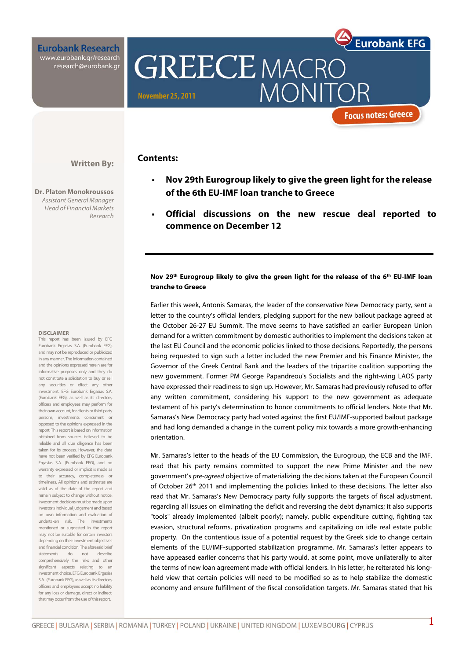**Eurobank Research** www.eurobank.gr/research<br>research@eurobank.gr

# **GREECE MACRO MONIT November 25, 2011**

## **Focus notes: Greece**

**Eurobank EFG** 

## **Contents:**

- **Nov 29th Eurogroup likely to give the green light for the release of the 6th EU-IMF loan tranche to Greece**
- **Official discussions on the new rescue deal reported to commence on December 12**

## **Nov 29th Eurogroup likely to give the green light for the release of the 6th EU-IMF loan tranche to Greece**

Earlier this week, Antonis Samaras, the leader of the conservative New Democracy party, sent a letter to the country's official lenders, pledging support for the new bailout package agreed at the October 26-27 EU Summit. The move seems to have satisfied an earlier European Union demand for a written commitment by domestic authorities to implement the decisions taken at the last EU Council and the economic policies linked to those decisions. Reportedly, the persons being requested to sign such a letter included the new Premier and his Finance Minister, the Governor of the Greek Central Bank and the leaders of the tripartite coalition supporting the new government. Former PM George Papandreou's Socialists and the right-wing LAOS party have expressed their readiness to sign up. However, Mr. Samaras had previously refused to offer any written commitment, considering his support to the new government as adequate testament of his party's determination to honor commitments to official lenders. Note that Mr. Samaras's New Democracy party had voted against the first EU/IMF-supported bailout package and had long demanded a change in the current policy mix towards a more growth-enhancing orientation.

Mr. Samaras's letter to the heads of the EU Commission, the Eurogroup, the ECB and the IMF, read that his party remains committed to support the new Prime Minister and the new government's pre-agreed objective of materializing the decisions taken at the European Council of October 26<sup>th</sup> 2011 and implementing the policies linked to these decisions. The letter also read that Mr. Samaras's New Democracy party fully supports the targets of fiscal adjustment, regarding all issues on eliminating the deficit and reversing the debt dynamics; it also supports "tools" already implemented (albeit poorly); namely, public expenditure cutting, fighting tax evasion, structural reforms, privatization programs and capitalizing on idle real estate public property. On the contentious issue of a potential request by the Greek side to change certain elements of the EU/IMF-supported stabilization programme, Mr. Samaras's letter appears to have appeased earlier concerns that his party would, at some point, move unilaterally to alter the terms of new loan agreement made with official lenders. In his letter, he reiterated his longheld view that certain policies will need to be modified so as to help stabilize the domestic economy and ensure fulfillment of the fiscal consolidation targets. Mr. Samaras stated that his

**Dr. Platon Monokroussos**  Assistant General Manager Head of Financial Markets Research

**Written By:** 

#### **DISCLAIMER**

This report has been issued by EFG Eurobank Ergasias S.A. (Eurobank EFG), and may not be reproduced or publicized in any manner. The information contained and the opinions expressed herein are for informative purposes only and they do not constitute a solicitation to buy or sell any securities or effect any other investment. EFG Eurobank Ergasias S.A. (Eurobank EFG), as well as its directors, officers and employees may perform for their own account, for clients or third party persons, investments concurrent or opposed to the opinions expressed in the report. This report is based on information obtained from sources believed to be reliable and all due diligence has been taken for its process. However, the data have not been verified by EFG Eurobank Ergasias S.A. (Eurobank EFG), and no warranty expressed or implicit is made as to their accuracy, completeness, or timeliness. All opinions and estimates are valid as of the date of the report and remain subject to change without notice. Investment decisions must be made upon investor's individual judgement and based on own information and evaluation of undertaken risk. The investments mentioned or suggested in the report may not be suitable for certain investors depending on their investment objectives and financial condition. The aforesaid brief statements do not describe comprehensively the risks and other significant aspects relating to an investment choice. EFG Eurobank Ergasias S.A. (Eurobank EEG), as well as its directors officers and employees accept no liability for any loss or damage, direct or indirect that may occur from the use of this report.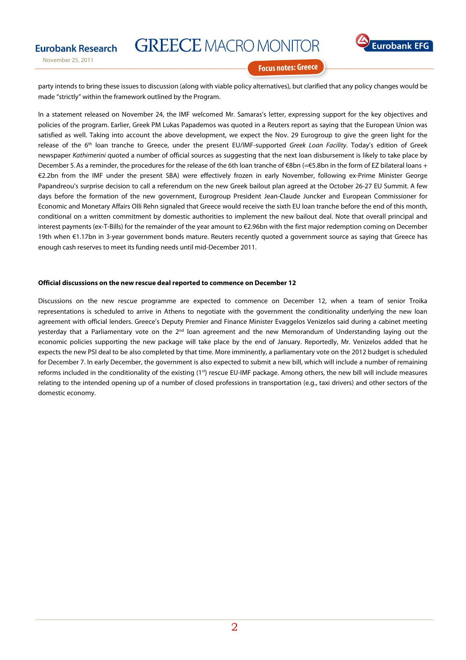



November 25, 2011

**Focus notes: Greece** 

party intends to bring these issues to discussion (along with viable policy alternatives), but clarified that any policy changes would be made "strictly" within the framework outlined by the Program.

In a statement released on November 24, the IMF welcomed Mr. Samaras's letter, expressing support for the key objectives and policies of the program. Earlier, Greek PM Lukas Papademos was quoted in a Reuters report as saying that the European Union was satisfied as well. Taking into account the above development, we expect the Nov. 29 Eurogroup to give the green light for the release of the 6<sup>th</sup> loan tranche to Greece, under the present EU/IMF-supported Greek Loan Facility. Today's edition of Greek newspaper Kathimerini quoted a number of official sources as suggesting that the next loan disbursement is likely to take place by December 5.As a reminder, the procedures for the release of the 6th loan tranche of €8bn (=€5.8bn in the form of EZ bilateral loans + €2.2bn from the IMF under the present SBA) were effectively frozen in early November, following ex-Prime Minister George Papandreou's surprise decision to call a referendum on the new Greek bailout plan agreed at the October 26-27 EU Summit. A few days before the formation of the new government, Eurogroup President Jean-Claude Juncker and European Commissioner for Economic and Monetary Affairs Olli Rehn signaled that Greece would receive the sixth EU loan tranche before the end of this month, conditional on a written commitment by domestic authorities to implement the new bailout deal. Note that overall principal and interest payments (ex-T-Bills) for the remainder of the year amount to €2.96bn with the first major redemption coming on December 19th when €1.17bn in 3-year government bonds mature. Reuters recently quoted a government source as saying that Greece has enough cash reserves to meet its funding needs until mid-December 2011.

#### **Official discussions on the new rescue deal reported to commence on December 12**

Discussions on the new rescue programme are expected to commence on December 12, when a team of senior Troika representations is scheduled to arrive in Athens to negotiate with the government the conditionality underlying the new loan agreement with official lenders. Greece's Deputy Premier and Finance Minister Evaggelos Venizelos said during a cabinet meeting yesterday that a Parliamentary vote on the  $2^{nd}$  loan agreement and the new Memorandum of Understanding laying out the economic policies supporting the new package will take place by the end of January. Reportedly, Mr. Venizelos added that he expects the new PSI deal to be also completed by that time. More imminently, a parliamentary vote on the 2012 budget is scheduled for December 7. In early December, the government is also expected to submit a new bill, which will include a number of remaining reforms included in the conditionality of the existing (1<sup>st</sup>) rescue EU-IMF package. Among others, the new bill will include measures relating to the intended opening up of a number of closed professions in transportation (e.g., taxi drivers) and other sectors of the domestic economy.